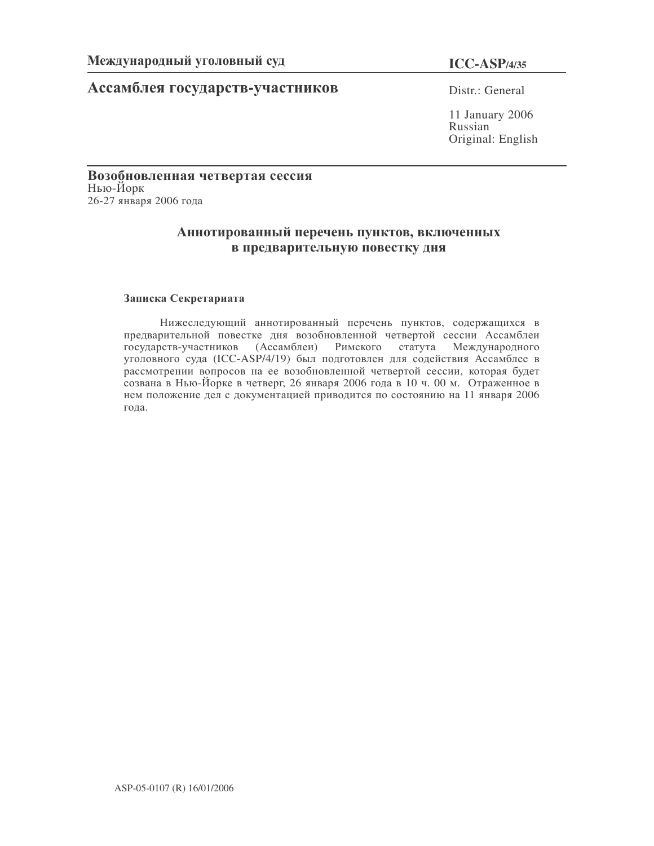# Ассамблея государств-участников Distr.: General

**ICC-ASP/4/35**

11 January 2006 Russian Original: English

# Возобновленная четвертая сессия Нью-Йорк 26-27 января 2006 года

# Аннотированный перечень пунктов, включенных в предварительную повестку дня

# Записка Секретариата

Нижеследующий аннотированный перечень пунктов, содержащихся в предварительной повестке дня возобновленной четвертой сессии Ассамблеи государств-участников (Ассамблеи) Римского статута Международного уголовного суда (ICC-ASP/4/19) был подготовлен для содействия Ассамблее в рассмотрении вопросов на ее возобновленной четвертой сессии, которая будет созвана в Нью-Йорке в четверг, 26 января 2006 года в 10 ч. 00 м. Отраженное в нем положение дел с документацией приводится по состоянию на 11 января 2006 года.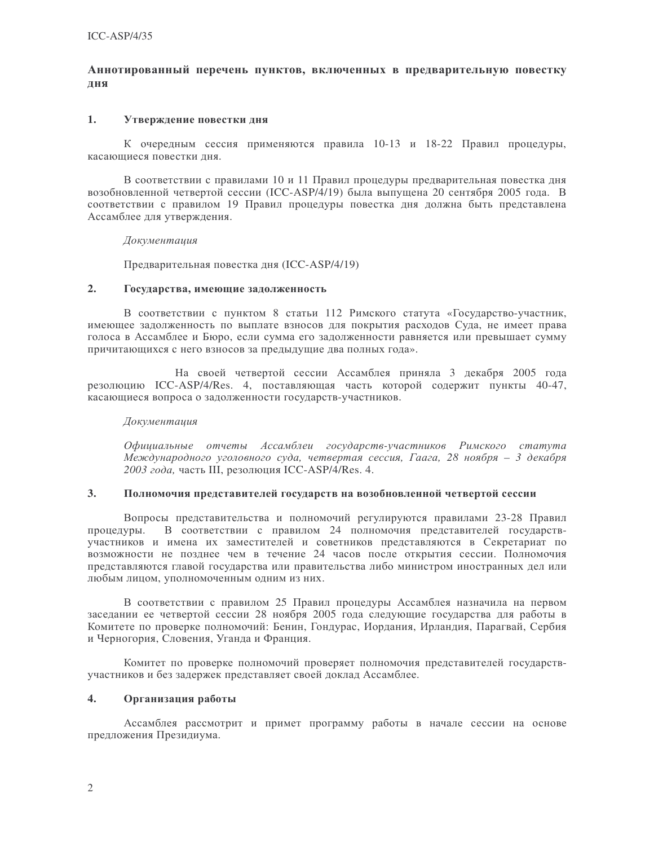# Аннотированный перечень пунктов, включенных в предварительную повестку ДНЯ

#### 1. Утверждение повестки дня

К очередным сессия применяются правила 10-13 и 18-22 Правил процедуры, касающиеся повестки лня.

В соответствии с правилами 10 и 11 Правил процедуры предварительная повестка дня возобновленной четвертой сессии (ICC-ASP/4/19) была выпущена 20 сентября 2005 года. В соответствии с правилом 19 Правил процедуры повестка дня должна быть представлена Ассамблее для утверждения.

### Документация

Предварительная повестка дня (ICC-ASP/4/19)

#### $2.$ Государства, имеющие задолженность

В соответствии с пунктом 8 статьи 112 Римского статута «Государство-участник, имеющее задолженность по выплате взносов для покрытия расходов Суда, не имеет права голоса в Ассамблее и Бюро, если сумма его задолженности равняется или превышает сумму причитающихся с него взносов за предыдущие два полных года».

На своей четвертой сессии Ассамблея приняла 3 декабря 2005 года резолюцию ICC-ASP/4/Res. 4, поставляющая часть которой содержит пункты 40-47, касающиеся вопроса о задолженности государств-участников.

### Документация

Официальные отчеты Ассамблеи государств-участников Римского статута Международного уголовного суда, четвертая сессия, Гаага, 28 ноября - 3 декабря 2003 года, часть III, резолюция ICC-ASP/4/Res. 4.

#### $3.$ Полномочия представителей государств на возобновленной четвертой сессии

Вопросы представительства и полномочий регулируются правилами 23-28 Правил процедуры. В соответствии с правилом 24 полномочия представителей государствучастников и имена их заместителей и советников представляются в Секретариат по возможности не позднее чем в течение 24 часов после открытия сессии. Полномочия представляются главой государства или правительства либо министром иностранных дел или любым лицом, уполномоченным одним из них.

В соответствии с правилом 25 Правил процедуры Ассамблея назначила на первом заседании ее четвертой сессии 28 ноября 2005 года следующие государства для работы в Комитете по проверке полномочий: Бенин, Гондурас, Иордания, Ирландия, Парагвай, Сербия и Черногория, Словения, Уганда и Франция.

Комитет по проверке полномочий проверяет полномочия представителей государствучастников и без задержек представляет своей доклад Ассамблее.

### $\overline{4}$ . Организация работы

Ассамблея рассмотрит и примет программу работы в начале сессии на основе предложения Президиума.